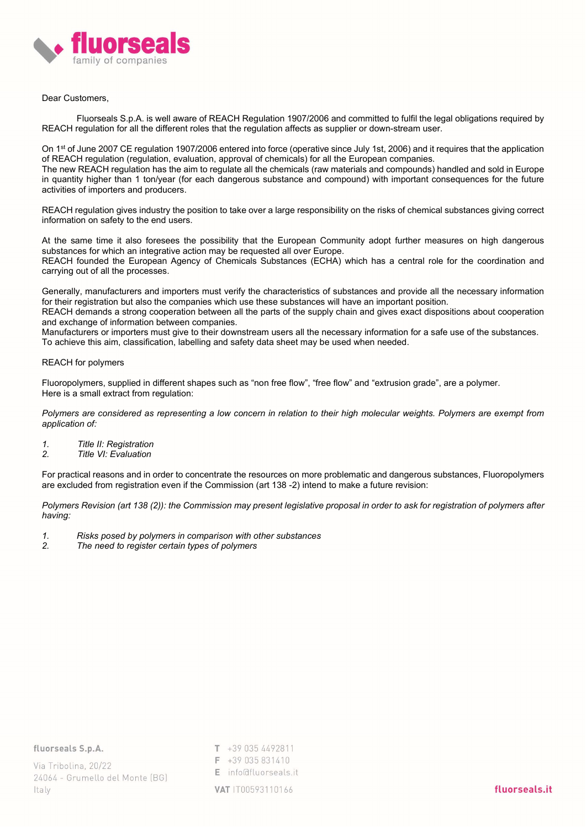

### Dear Customers,

Fluorseals S.p.A. is well aware of REACH Regulation 1907/2006 and committed to fulfil the legal obligations required by REACH regulation for all the different roles that the regulation affects as supplier or down-stream user.

On 1st of June 2007 CE regulation 1907/2006 entered into force (operative since July 1st, 2006) and it requires that the application of REACH regulation (regulation, evaluation, approval of chemicals) for all the European companies. The new REACH regulation has the aim to regulate all the chemicals (raw materials and compounds) handled and sold in Europe in quantity higher than 1 ton/year (for each dangerous substance and compound) with important consequences for the future activities of importers and producers.

REACH regulation gives industry the position to take over a large responsibility on the risks of chemical substances giving correct information on safety to the end users.

At the same time it also foresees the possibility that the European Community adopt further measures on high dangerous substances for which an integrative action may be requested all over Europe.

REACH founded the European Agency of Chemicals Substances (ECHA) which has a central role for the coordination and carrying out of all the processes.

Generally, manufacturers and importers must verify the characteristics of substances and provide all the necessary information for their registration but also the companies which use these substances will have an important position.

REACH demands a strong cooperation between all the parts of the supply chain and gives exact dispositions about cooperation and exchange of information between companies.

Manufacturers or importers must give to their downstream users all the necessary information for a safe use of the substances. To achieve this aim, classification, labelling and safety data sheet may be used when needed.

### REACH for polymers

Fluoropolymers, supplied in different shapes such as "non free flow", "free flow" and "extrusion grade", are a polymer. Here is a small extract from regulation:

Polymers are considered as representing a low concern in relation to their high molecular weights. Polymers are exempt from application of:

- 1. Title II: Registration
- 2. Title VI: Evaluation

For practical reasons and in order to concentrate the resources on more problematic and dangerous substances, Fluoropolymers are excluded from registration even if the Commission (art 138 -2) intend to make a future revision:

Polymers Revision (art 138 (2)): the Commission may present legislative proposal in order to ask for registration of polymers after having:

- 1. Risks posed by polymers in comparison with other substances
- 2. The need to register certain types of polymers

# fluorseals S.p.A.